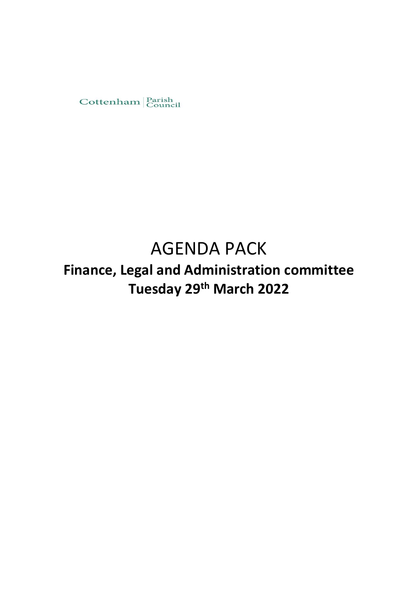

# AGENDA PACK

# **Finance, Legal and Administration committee Tuesday 29th March 2022**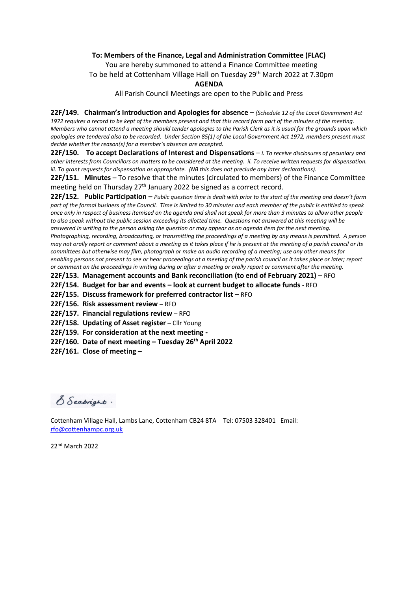#### **To: Members of the Finance, Legal and Administration Committee (FLAC)**

You are hereby summoned to attend a Finance Committee meeting To be held at Cottenham Village Hall on Tuesday 29<sup>th</sup> March 2022 at 7.30pm

#### **AGENDA**

All Parish Council Meetings are open to the Public and Press

**22F/149. Chairman's Introduction and Apologies for absence –** *(Schedule 12 of the Local Government Act 1972 requires a record to be kept of the members present and that this record form part of the minutes of the meeting. Members who cannot attend a meeting should tender apologies to the Parish Clerk as it is usual for the grounds upon which apologies are tendered also to be recorded. Under Section 85(1) of the Local Government Act 1972, members present must decide whether the reason(s) for a member's absence are accepted.*

**22F/150. To accept Declarations of Interest and Dispensations** – *i. To receive disclosures of pecuniary and other interests from Councillors on matters to be considered at the meeting. ii. To receive written requests for dispensation. iii. To grant requests for dispensation as appropriate. (NB this does not preclude any later declarations).*

**22F/151. Minutes** – To resolve that the minutes (circulated to members) of the Finance Committee meeting held on Thursday  $27<sup>th</sup>$  January 2022 be signed as a correct record.

**22F/152. Public Participation –** *Public question time is dealt with prior to the start of the meeting and doesn't form part of the formal business of the Council. Time is limited to 30 minutes and each member of the public is entitled to speak once only in respect of business itemised on the agenda and shall not speak for more than 3 minutes to allow other people to also speak without the public session exceeding its allotted time. Questions not answered at this meeting will be answered in writing to the person asking the question or may appear as an agenda item for the next meeting. Photographing, recording, broadcasting, or transmitting the proceedings of a meeting by any means is permitted. A person may not orally report or comment about a meeting as it takes place if he is present at the meeting of a parish council or its committees but otherwise may film, photograph or make an audio recording of a meeting; use any other means for enabling persons not present to see or hear proceedings at a meeting of the parish council as it takes place or later; report or comment on the proceedings in writing during or after a meeting or orally report or comment after the meeting.* 

**22F/153. Management accounts and Bank reconciliation (to end of February 2021)** – RFO

**22F/154. Budget for bar and events – look at current budget to allocate funds** - RFO

**22F/155. Discuss framework for preferred contractor list - RFO** 

**22F/156. Risk assessment review** – RFO

**22F/157. Financial regulations review** – RFO

**22F/158. Updating of Asset register** – Cllr Young

**22F/159. For consideration at the next meeting -**

**22F/160. Date of next meeting – Tuesday 26th April 2022**

**22F/161. Close of meeting –**

S Seabright.

Cottenham Village Hall, Lambs Lane, Cottenham CB24 8TA Tel: 07503 328401 Email: [rfo@cottenhampc.org.uk](mailto:rfo@cottenhampc.org.uk)

22nd March 2022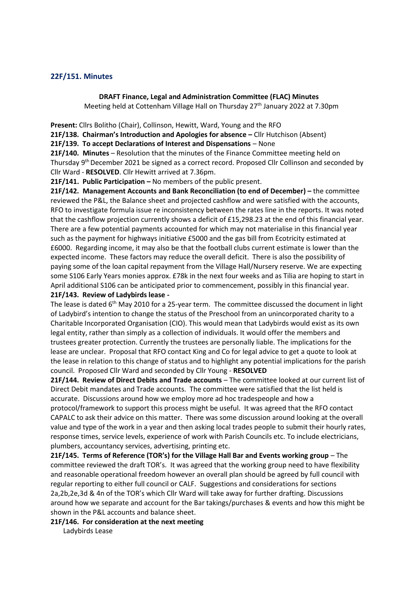#### **22F/151. Minutes**

#### **DRAFT Finance, Legal and Administration Committee (FLAC) Minutes**

Meeting held at Cottenham Village Hall on Thursday 27<sup>th</sup> January 2022 at 7.30pm

**Present:** Cllrs Bolitho (Chair), Collinson, Hewitt, Ward, Young and the RFO

**21F/138. Chairman's Introduction and Apologies for absence –** Cllr Hutchison (Absent)

**21F/139. To accept Declarations of Interest and Dispensations** – None

**21F/140. Minutes** – Resolution that the minutes of the Finance Committee meeting held on Thursday 9th December 2021 be signed as a correct record. Proposed Cllr Collinson and seconded by Cllr Ward - **RESOLVED**. Cllr Hewitt arrived at 7.36pm.

 **21F/141. Public Participation –** No members of the public present.

**21F/142. Management Accounts and Bank Reconciliation (to end of December) –** the committee reviewed the P&L, the Balance sheet and projected cashflow and were satisfied with the accounts, RFO to investigate formula issue re inconsistency between the rates line in the reports. It was noted that the cashflow projection currently shows a deficit of £15,298.23 at the end of this financial year. There are a few potential payments accounted for which may not materialise in this financial year such as the payment for highways initiative £5000 and the gas bill from Ecotricity estimated at £6000. Regarding income, it may also be that the football clubs current estimate is lower than the expected income. These factors may reduce the overall deficit. There is also the possibility of paying some of the loan capital repayment from the Village Hall/Nursery reserve. We are expecting some S106 Early Years monies approx. £78k in the next four weeks and as Tilia are hoping to start in April additional S106 can be anticipated prior to commencement, possibly in this financial year.

# **21F/143. Review of Ladybirds lease -**

The lease is dated  $6<sup>th</sup>$  May 2010 for a 25-year term. The committee discussed the document in light of Ladybird's intention to change the status of the Preschool from an unincorporated charity to a Charitable Incorporated Organisation (CIO). This would mean that Ladybirds would exist as its own legal entity, rather than simply as a collection of individuals. It would offer the members and trustees greater protection. Currently the trustees are personally liable. The implications for the lease are unclear. Proposal that RFO contact King and Co for legal advice to get a quote to look at the lease in relation to this change of status and to highlight any potential implications for the parish council. Proposed Cllr Ward and seconded by Cllr Young - **RESOLVED**

**21F/144. Review of Direct Debits and Trade accounts** – The committee looked at our current list of Direct Debit mandates and Trade accounts. The committee were satisfied that the list held is accurate. Discussions around how we employ more ad hoc tradespeople and how a

protocol/framework to support this process might be useful. It was agreed that the RFO contact CAPALC to ask their advice on this matter. There was some discussion around looking at the overall value and type of the work in a year and then asking local trades people to submit their hourly rates, response times, service levels, experience of work with Parish Councils etc. To include electricians, plumbers, accountancy services, advertising, printing etc.

**21F/145. Terms of Reference (TOR's) for the Village Hall Bar and Events working group** – The committee reviewed the draft TOR's. It was agreed that the working group need to have flexibility and reasonable operational freedom however an overall plan should be agreed by full council with regular reporting to either full council or CALF. Suggestions and considerations for sections 2a,2b,2e,3d & 4n of the TOR's which Cllr Ward will take away for further drafting. Discussions around how we separate and account for the Bar takings/purchases & events and how this might be shown in the P&L accounts and balance sheet.

**21F/146. For consideration at the next meeting** 

Ladybirds Lease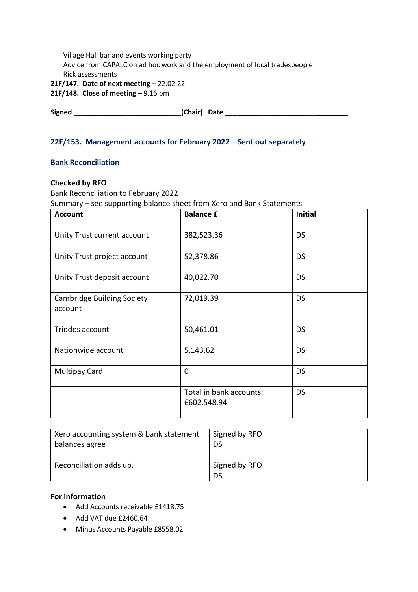| Village Hall bar and events working party                                  |
|----------------------------------------------------------------------------|
| Advice from CAPALC on ad hoc work and the employment of local tradespeople |
| Rick assessments                                                           |
| 21F/147. Date of next meeting - 22.02.22                                   |

**21F/148. Close of meeting –** 9.16 pm

**Signed \_\_\_\_\_\_\_\_\_\_\_\_\_\_\_\_\_\_\_\_\_\_\_\_\_\_\_\_(Chair) Date \_\_\_\_\_\_\_\_\_\_\_\_\_\_\_\_\_\_\_\_\_\_\_\_\_\_\_\_\_\_\_\_**

# **22F/153. Management accounts for February 2022 – Sent out separately**

# **Bank Reconciliation**

### **Checked by RFO**

Bank Reconciliation to February 2022 Summary – see supporting balance sheet from Xero and Bank Statements

| <b>Account</b>                               | <b>Balance £</b>                       | <b>Initial</b> |
|----------------------------------------------|----------------------------------------|----------------|
| Unity Trust current account                  | 382,523.36                             | <b>DS</b>      |
| Unity Trust project account                  | 52,378.86                              | <b>DS</b>      |
| Unity Trust deposit account                  | 40,022.70                              | <b>DS</b>      |
| <b>Cambridge Building Society</b><br>account | 72,019.39                              | <b>DS</b>      |
| Triodos account                              | 50,461.01                              | <b>DS</b>      |
| Nationwide account                           | 5,143.62                               | <b>DS</b>      |
| <b>Multipay Card</b>                         | $\overline{0}$                         | <b>DS</b>      |
|                                              | Total in bank accounts:<br>£602,548.94 | <b>DS</b>      |

| Xero accounting system & bank statement | Signed by RFO        |
|-----------------------------------------|----------------------|
| balances agree                          | DS                   |
| Reconciliation adds up.                 | Signed by RFO<br>DS. |

# **For information**

- Add Accounts receivable £1418.75
- Add VAT due £2460.64
- Minus Accounts Payable £8558.02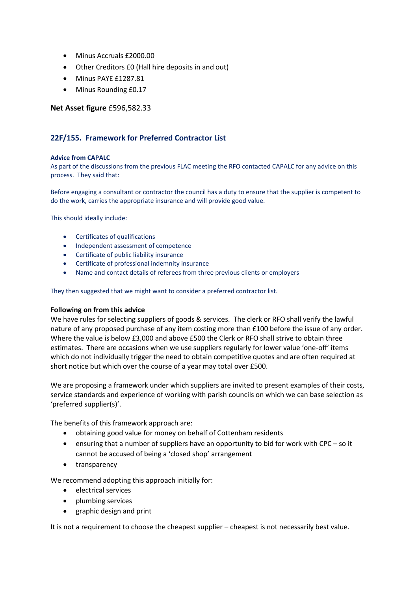- Minus Accruals £2000.00
- Other Creditors £0 (Hall hire deposits in and out)
- Minus PAYE £1287.81
- Minus Rounding £0.17

#### **Net Asset figure** £596,582.33

### **22F/155. Framework for Preferred Contractor List**

#### **Advice from CAPALC**

As part of the discussions from the previous FLAC meeting the RFO contacted CAPALC for any advice on this process. They said that:

Before engaging a consultant or contractor the council has a duty to ensure that the supplier is competent to do the work, carries the appropriate insurance and will provide good value.

This should ideally include:

- Certificates of qualifications
- Independent assessment of competence
- Certificate of public liability insurance
- Certificate of professional indemnity insurance
- Name and contact details of referees from three previous clients or employers

They then suggested that we might want to consider a preferred contractor list.

#### **Following on from this advice**

We have rules for selecting suppliers of goods & services. The clerk or RFO shall verify the lawful nature of any proposed purchase of any item costing more than £100 before the issue of any order. Where the value is below £3,000 and above £500 the Clerk or RFO shall strive to obtain three estimates. There are occasions when we use suppliers regularly for lower value 'one-off' items which do not individually trigger the need to obtain competitive quotes and are often required at short notice but which over the course of a year may total over £500.

We are proposing a framework under which suppliers are invited to present examples of their costs, service standards and experience of working with parish councils on which we can base selection as 'preferred supplier(s)'.

The benefits of this framework approach are:

- obtaining good value for money on behalf of Cottenham residents
- ensuring that a number of suppliers have an opportunity to bid for work with CPC so it cannot be accused of being a 'closed shop' arrangement
- transparency

We recommend adopting this approach initially for:

- electrical services
- plumbing services
- graphic design and print

It is not a requirement to choose the cheapest supplier – cheapest is not necessarily best value.